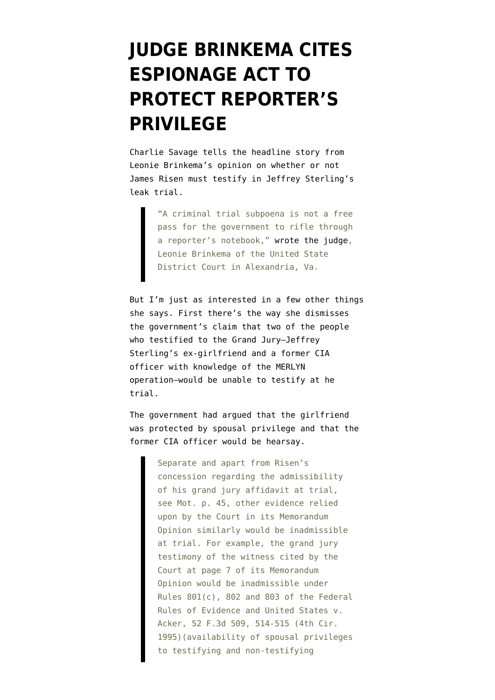## **[JUDGE BRINKEMA CITES](https://www.emptywheel.net/2011/08/04/20829/) [ESPIONAGE ACT TO](https://www.emptywheel.net/2011/08/04/20829/) [PROTECT REPORTER'S](https://www.emptywheel.net/2011/08/04/20829/) [PRIVILEGE](https://www.emptywheel.net/2011/08/04/20829/)**

Charlie Savage [tells](http://mediadecoder.blogs.nytimes.com/2011/08/03/judge-explains-letting-a-reporter-protect-his-source/?ref=us) the headline story from Leonie Brinkema's [opinion](http://www.emptywheel.net/wp-content/uploads/2011/08/110729-Brinkema-Limit-Risen.pdf) on whether or not James Risen must testify in Jeffrey Sterling's leak trial.

> "A criminal trial subpoena is not a free pass for the government to rifle through a reporter's notebook," [wrote the judge,](http://www.documentcloud.org/documents/229733-judge-leonie-brinkemas-ruling-quashing-subpoena.html) Leonie Brinkema of the United State District Court in Alexandria, Va.

But I'm just as interested in a few other things she says. First there's the way she dismisses the government's claim that two of the people who testified to the Grand Jury–Jeffrey Sterling's ex-girlfriend and a former CIA officer with knowledge of the MERLYN operation–would be unable to testify at he trial.

The government had [argued](http://www.emptywheel.net/wp-content/uploads/2011/08/110701-Govt-Response-Risen-Subpoena.pdf) that the girlfriend was protected by spousal privilege and that the former CIA officer would be hearsay.

> Separate and apart from Risen's concession regarding the admissibility of his grand jury affidavit at trial, see Mot. p. 45, other evidence relied upon by the Court in its Memorandum Opinion similarly would be inadmissible at trial. For example, the grand jury testimony of the witness cited by the Court at page 7 of its Memorandum Opinion would be inadmissible under Rules 801(c), 802 and 803 of the Federal Rules of Evidence and United States v. Acker, 52 F.3d 509, 514-515 (4th Cir. 1995)(availability of spousal privileges to testifying and non-testifying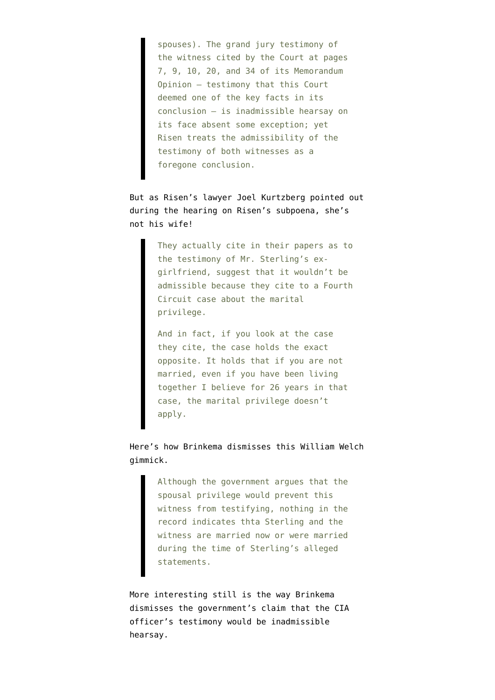spouses). The grand jury testimony of the witness cited by the Court at pages 7, 9, 10, 20, and 34 of its Memorandum Opinion – testimony that this Court deemed one of the key facts in its conclusion – is inadmissible hearsay on its face absent some exception; yet Risen treats the admissibility of the testimony of both witnesses as a foregone conclusion.

But as Risen's lawyer Joel Kurtzberg [pointed out](http://www.fas.org/sgp/jud/sterling/070711-transcript.pdf) during the hearing on Risen's subpoena, she's not his wife!

> They actually cite in their papers as to the testimony of Mr. Sterling's exgirlfriend, suggest that it wouldn't be admissible because they cite to a Fourth Circuit case about the marital privilege.

And in fact, if you look at the case they cite, the case holds the exact opposite. It holds that if you are not married, even if you have been living together I believe for 26 years in that case, the marital privilege doesn't apply.

Here's how Brinkema dismisses this William Welch gimmick.

> Although the government argues that the spousal privilege would prevent this witness from testifying, nothing in the record indicates thta Sterling and the witness are married now or were married during the time of Sterling's alleged statements.

More interesting still is the way Brinkema dismisses the government's claim that the CIA officer's testimony would be inadmissible hearsay.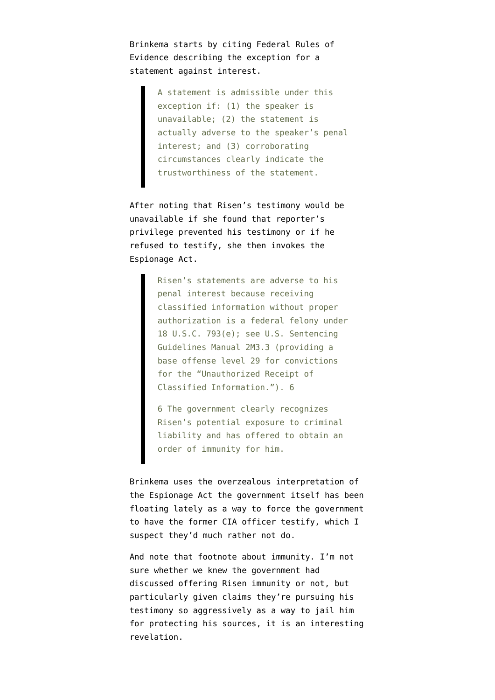Brinkema starts by citing Federal Rules of Evidence describing the exception for a statement against interest.

> A statement is admissible under this exception if: (1) the speaker is unavailable; (2) the statement is actually adverse to the speaker's penal interest; and (3) corroborating circumstances clearly indicate the trustworthiness of the statement.

After noting that Risen's testimony would be unavailable if she found that reporter's privilege prevented his testimony or if he refused to testify, she then invokes the Espionage Act.

> Risen's statements are adverse to his penal interest because receiving classified information without proper authorization is a federal felony under 18 U.S.C. 793(e); see U.S. Sentencing Guidelines Manual 2M3.3 (providing a base offense level 29 for convictions for the "Unauthorized Receipt of Classified Information."). 6

6 The government clearly recognizes Risen's potential exposure to criminal liability and has offered to obtain an order of immunity for him.

Brinkema uses the overzealous interpretation of the [Espionage Act](http://codes.lp.findlaw.com/uscode/18/I/37/793) the government itself has been floating lately as a way to force the government to have the former CIA officer testify, which I suspect they'd much rather not do.

And note that footnote about immunity. I'm not sure whether we knew the government had discussed offering Risen immunity or not, but particularly given claims they're pursuing his testimony so aggressively as a way to jail him for protecting his sources, it is an interesting revelation.